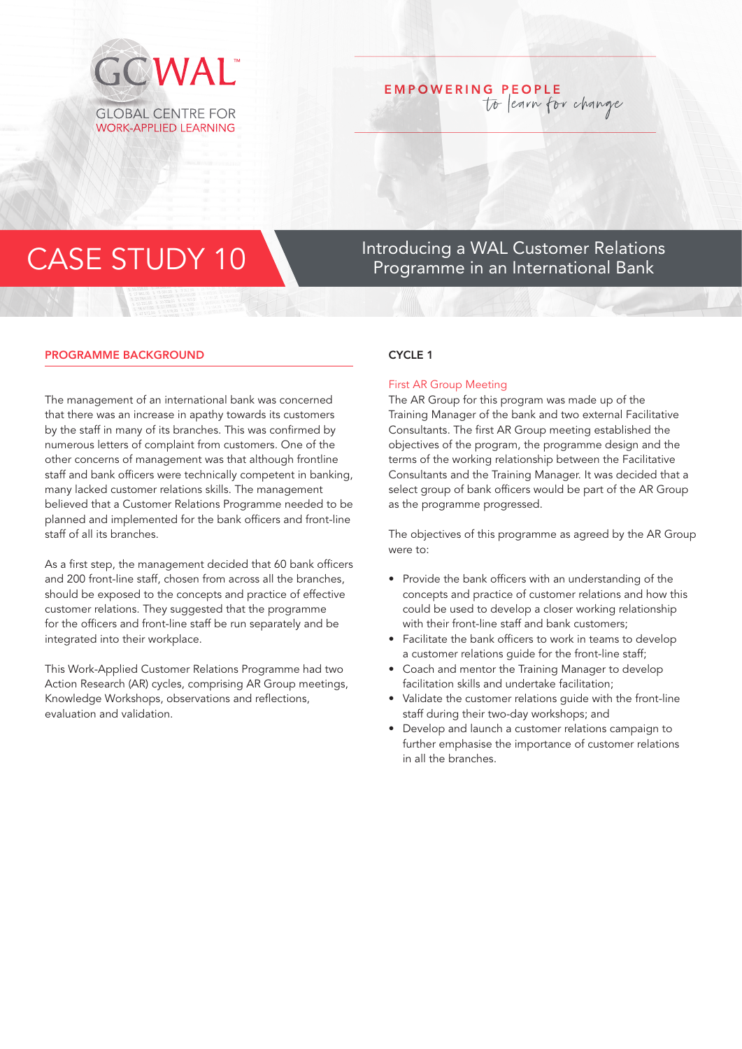

## **EMPOWERING PEOPLE** to learn for change

# CASE STUDY 10 Introducing a WAL Customer Relations<br>Programme in an International Bank Programme in an International Bank

### PROGRAMME BACKGROUND

The management of an international bank was concerned that there was an increase in apathy towards its customers by the staff in many of its branches. This was confirmed by numerous letters of complaint from customers. One of the other concerns of management was that although frontline staff and bank officers were technically competent in banking, many lacked customer relations skills. The management believed that a Customer Relations Programme needed to be planned and implemented for the bank officers and front-line staff of all its branches.

As a first step, the management decided that 60 bank officers and 200 front-line staff, chosen from across all the branches, should be exposed to the concepts and practice of effective customer relations. They suggested that the programme for the officers and front-line staff be run separately and be integrated into their workplace.

This Work-Applied Customer Relations Programme had two Action Research (AR) cycles, comprising AR Group meetings, Knowledge Workshops, observations and reflections, evaluation and validation.

#### CYCLE<sub>1</sub>

#### First AR Group Meeting

The AR Group for this program was made up of the Training Manager of the bank and two external Facilitative Consultants. The first AR Group meeting established the objectives of the program, the programme design and the terms of the working relationship between the Facilitative Consultants and the Training Manager. It was decided that a select group of bank officers would be part of the AR Group as the programme progressed.

The objectives of this programme as agreed by the AR Group were to:

- Provide the bank officers with an understanding of the concepts and practice of customer relations and how this could be used to develop a closer working relationship with their front-line staff and bank customers;
- Facilitate the bank officers to work in teams to develop a customer relations guide for the front-line staff;
- Coach and mentor the Training Manager to develop facilitation skills and undertake facilitation;
- Validate the customer relations guide with the front-line staff during their two-day workshops; and
- Develop and launch a customer relations campaign to further emphasise the importance of customer relations in all the branches.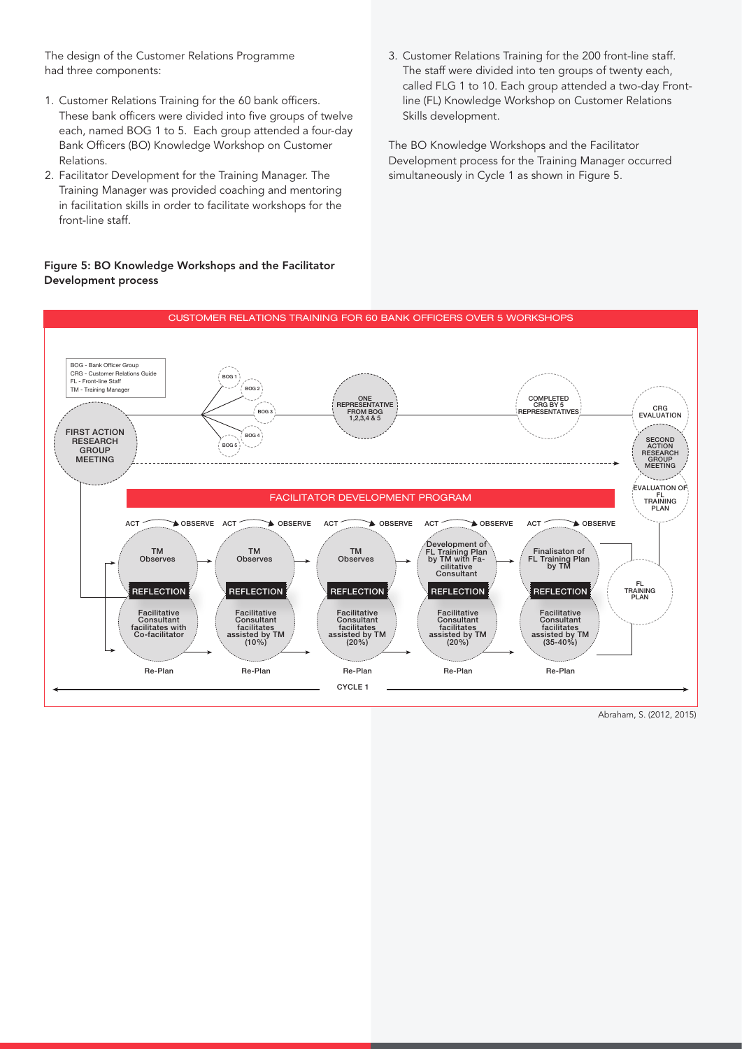The design of the Customer Relations Programme had three components:

- 1. Customer Relations Training for the 60 bank officers. These bank officers were divided into five groups of twelve each, named BOG 1 to 5. Each group attended a four-day Bank Officers (BO) Knowledge Workshop on Customer Relations.
- 2. Facilitator Development for the Training Manager. The Training Manager was provided coaching and mentoring in facilitation skills in order to facilitate workshops for the front-line staff.

### Figure 5: BO Knowledge Workshops and the Facilitator Development process

3. Customer Relations Training for the 200 front-line staff. The staff were divided into ten groups of twenty each, called FLG 1 to 10. Each group attended a two-day Frontline (FL) Knowledge Workshop on Customer Relations Skills development.

The BO Knowledge Workshops and the Facilitator Development process for the Training Manager occurred simultaneously in Cycle 1 as shown in Figure 5.



Abraham, S. (2012, 2015)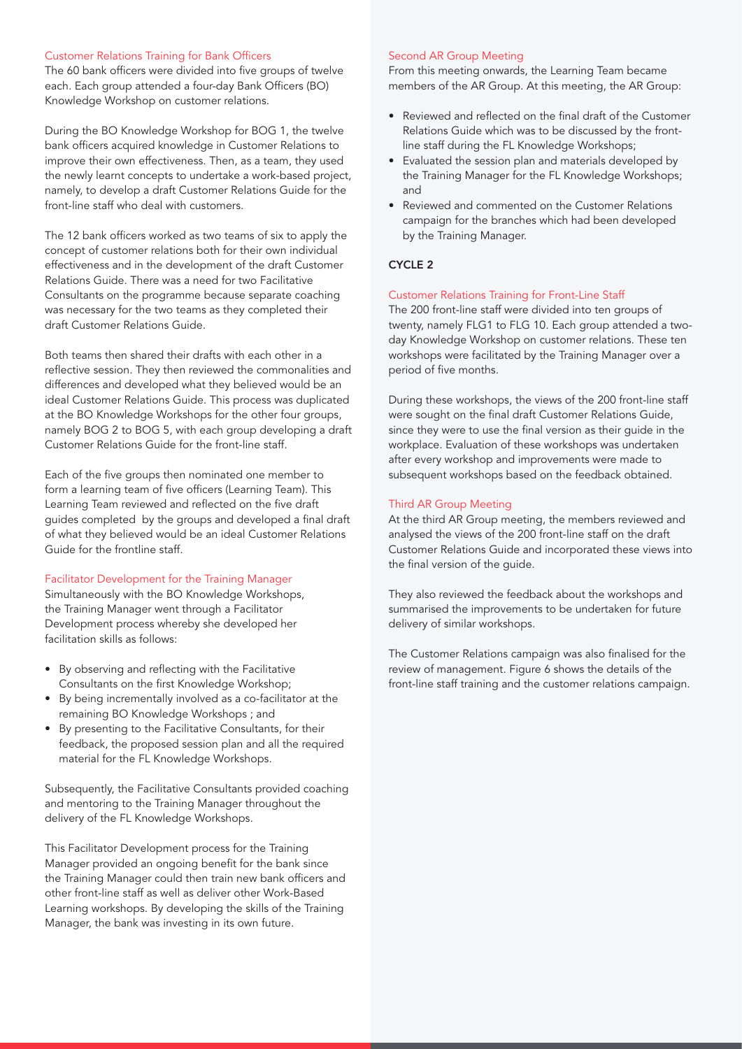#### Customer Relations Training for Bank Officers

The 60 bank officers were divided into five groups of twelve each. Each group attended a four-day Bank Officers (BO) Knowledge Workshop on customer relations.

During the BO Knowledge Workshop for BOG 1, the twelve bank officers acquired knowledge in Customer Relations to improve their own effectiveness. Then, as a team, they used the newly learnt concepts to undertake a work-based project, namely, to develop a draft Customer Relations Guide for the front-line staff who deal with customers.

The 12 bank officers worked as two teams of six to apply the concept of customer relations both for their own individual effectiveness and in the development of the draft Customer Relations Guide. There was a need for two Facilitative Consultants on the programme because separate coaching was necessary for the two teams as they completed their draft Customer Relations Guide.

Both teams then shared their drafts with each other in a reflective session. They then reviewed the commonalities and differences and developed what they believed would be an ideal Customer Relations Guide. This process was duplicated at the BO Knowledge Workshops for the other four groups, namely BOG 2 to BOG 5, with each group developing a draft Customer Relations Guide for the front-line staff.

Each of the five groups then nominated one member to form a learning team of five officers (Learning Team). This Learning Team reviewed and reflected on the five draft guides completed by the groups and developed a final draft of what they believed would be an ideal Customer Relations Guide for the frontline staff.

### Facilitator Development for the Training Manager

Simultaneously with the BO Knowledge Workshops, the Training Manager went through a Facilitator Development process whereby she developed her facilitation skills as follows:

- By observing and reflecting with the Facilitative Consultants on the first Knowledge Workshop;
- By being incrementally involved as a co-facilitator at the remaining BO Knowledge Workshops ; and
- By presenting to the Facilitative Consultants, for their feedback, the proposed session plan and all the required material for the FL Knowledge Workshops.

Subsequently, the Facilitative Consultants provided coaching and mentoring to the Training Manager throughout the delivery of the FL Knowledge Workshops.

This Facilitator Development process for the Training Manager provided an ongoing benefit for the bank since the Training Manager could then train new bank officers and other front-line staff as well as deliver other Work-Based Learning workshops. By developing the skills of the Training Manager, the bank was investing in its own future.

#### Second AR Group Meeting

From this meeting onwards, the Learning Team became members of the AR Group. At this meeting, the AR Group:

- Reviewed and reflected on the final draft of the Customer Relations Guide which was to be discussed by the frontline staff during the FL Knowledge Workshops;
- Evaluated the session plan and materials developed by the Training Manager for the FL Knowledge Workshops; and
- Reviewed and commented on the Customer Relations campaign for the branches which had been developed by the Training Manager.

### CYCLE 2

#### Customer Relations Training for Front-Line Staff

The 200 front-line staff were divided into ten groups of twenty, namely FLG1 to FLG 10. Each group attended a twoday Knowledge Workshop on customer relations. These ten workshops were facilitated by the Training Manager over a period of five months.

During these workshops, the views of the 200 front-line staff were sought on the final draft Customer Relations Guide, since they were to use the final version as their guide in the workplace. Evaluation of these workshops was undertaken after every workshop and improvements were made to subsequent workshops based on the feedback obtained.

#### Third AR Group Meeting

At the third AR Group meeting, the members reviewed and analysed the views of the 200 front-line staff on the draft Customer Relations Guide and incorporated these views into the final version of the guide.

They also reviewed the feedback about the workshops and summarised the improvements to be undertaken for future delivery of similar workshops.

The Customer Relations campaign was also finalised for the review of management. Figure 6 shows the details of the front-line staff training and the customer relations campaign.